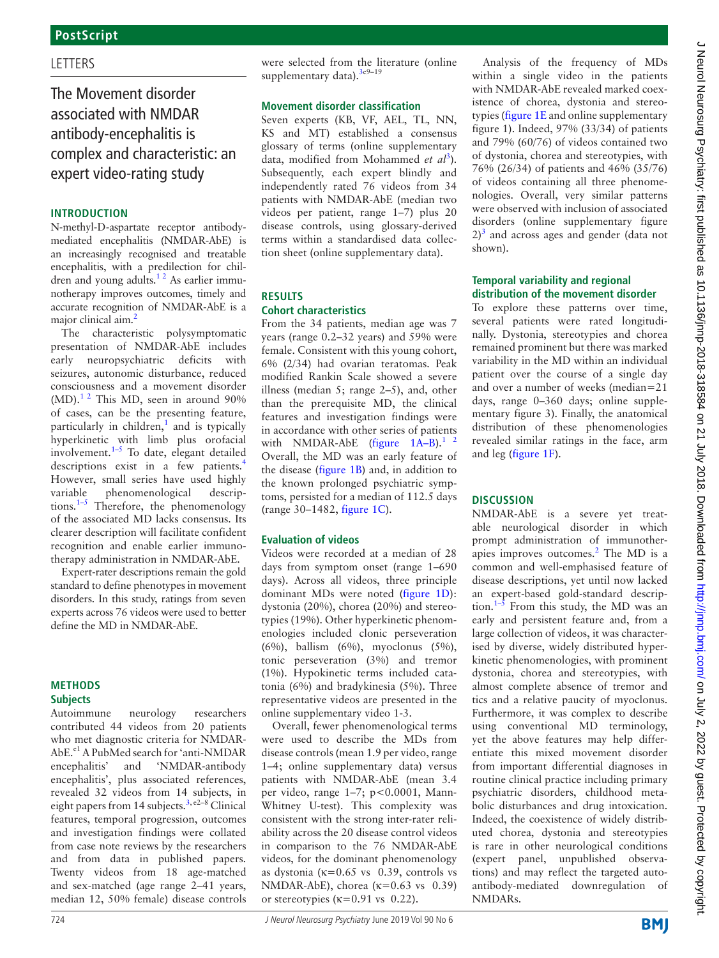# **LETTERS**

The Movement disorder associated with NMDAR antibody-encephalitis is complex and characteristic: an expert video-rating study

#### **Introduction**

N-methyl-D-aspartate receptor antibodymediated encephalitis (NMDAR-AbE) is an increasingly recognised and treatable encephalitis, with a predilection for children and young adults.<sup>12</sup> As earlier immunotherapy improves outcomes, timely and accurate recognition of NMDAR-AbE is a major clinical aim.<sup>[2](#page-2-1)</sup>

The characteristic polysymptomatic presentation of NMDAR-AbE includes early neuropsychiatric deficits with seizures, autonomic disturbance, reduced consciousness and a movement disorder  $(MD)$ .<sup>1 2</sup> This MD, seen in around 90% of cases, can be the presenting feature, particularly in children, $<sup>1</sup>$  and is typically</sup> hyperkinetic with limb plus orofacial involvement. $1-5$  To date, elegant detailed descriptions exist in a few patients.<sup>[4](#page-2-2)</sup> However, small series have used highly variable phenomenological descriptions[.1–5](#page-2-0) Therefore, the phenomenology of the associated MD lacks consensus. Its clearer description will facilitate confident recognition and enable earlier immunotherapy administration in NMDAR-AbE.

Expert-rater descriptions remain the gold standard to define phenotypes in movement disorders. In this study, ratings from seven experts across 76 videos were used to better define the MD in NMDAR-AbE.

# **Methods**

**Subjects**

Autoimmune neurology researchers contributed 44 videos from 20 patients who met diagnostic criteria for NMDAR-AbE.<sup>e1</sup> A PubMed search for 'anti-NMDAR encephalitis' and 'NMDAR-antibody encephalitis', plus associated references, revealed 32 videos from 14 subjects, in eight papers from 14 subjects.<sup>[3,](#page-2-3) e2-8</sup> Clinical features, temporal progression, outcomes and investigation findings were collated from case note reviews by the researchers and from data in published papers. Twenty videos from 18 age-matched and sex-matched (age range 2–41 years, median 12, 50% female) disease controls

724 J Neurol Neurosurg Psychiatry June 2019 Vol 90 No 6

were selected from the literature ([online](https://dx.doi.org/10.1136/jnnp-2018-318584) 

**Movement disorder classification** Seven experts (KB, VF, AEL, TL, NN, KS and MT) established a consensus glossary of terms [\(online supplementary](https://dx.doi.org/10.1136/jnnp-2018-318584)  [data,](https://dx.doi.org/10.1136/jnnp-2018-318584) modified from Mohammed et al<sup>[3](#page-2-3)</sup>). Subsequently, each expert blindly and independently rated 76 videos from 34 patients with NMDAR-AbE (median two videos per patient, range 1–7) plus 20 disease controls, using glossary-derived terms within a standardised data collection sheet ([online supplementary data\)](https://dx.doi.org/10.1136/jnnp-2018-318584).

[supplementary data](https://dx.doi.org/10.1136/jnnp-2018-318584)).<sup>[3e](#page-2-3)9-19</sup>

**Results**

**Cohort characteristics**

(range 30–1482, [figure](#page-1-0) 1C).

[online supplementary video 1-3](https://dx.doi.org/10.1136/jnnp-2018-318584).

Overall, fewer phenomenological terms were used to describe the MDs from disease controls (mean 1.9 per video, range 1–4; [online supplementary data\)](https://dx.doi.org/10.1136/jnnp-2018-318584) versus patients with NMDAR-AbE (mean 3.4 per video, range 1–7; p<0.0001, Mann-Whitney U-test). This complexity was consistent with the strong inter-rater reliability across the 20 disease control videos in comparison to the 76 NMDAR-AbE videos, for the dominant phenomenology as dystonia ( $\kappa$ =0.65 vs 0.39, controls vs NMDAR-AbE), chorea ( $\kappa$ =0.63 vs 0.39) or stereotypies ( $\kappa$ =0.91 vs 0.22).

Videos were recorded at a median of 28 days from symptom onset (range 1–690 days). Across all videos, three principle dominant MDs were noted ([figure](#page-1-0) 1D): dystonia (20%), chorea (20%) and stereotypies (19%). Other hyperkinetic phenomenologies included clonic perseveration (6%), ballism (6%), myoclonus (5%), tonic perseveration (3%) and tremor (1%). Hypokinetic terms included catatonia (6%) and bradykinesia (5%). Three representative videos are presented in the

**Evaluation of videos**

From the 34 patients, median age was 7 years (range 0.2–32 years) and 59% were female. Consistent with this young cohort, 6% (2/34) had ovarian teratomas. Peak modified Rankin Scale showed a severe illness (median 5; range 2–5), and, other than the prerequisite MD, the clinical features and investigation findings were in accordance with other series of patients with NMDAR-AbE (figure  $1A-B$ ).<sup>1</sup> <sup>2</sup> Overall, the MD was an early feature of the disease [\(figure](#page-1-0) 1B) and, in addition to the known prolonged psychiatric symptoms, persisted for a median of 112.5 days

Analysis of the frequency of MDs within a single video in the patients with NMDAR-AbE revealed marked coexistence of chorea, dystonia and stereotypies [\(figure](#page-1-0) 1E and [online supplementary](https://dx.doi.org/10.1136/jnnp-2018-318584) [figure 1](https://dx.doi.org/10.1136/jnnp-2018-318584)). Indeed, 97% (33/34) of patients and 79% (60/76) of videos contained two of dystonia, chorea and stereotypies, with 76% (26/34) of patients and 46% (35/76) of videos containing all three phenomenologies. Overall, very similar patterns were observed with inclusion of associated disorders [\(online supplementary figure](https://dx.doi.org/10.1136/jnnp-2018-318584)  $2$ <sup>[3](#page-2-3)</sup> and across ages and gender (data not shown).

#### **Temporal variability and regional distribution of the movement disorder**

To explore these patterns over time, several patients were rated longitudinally. Dystonia, stereotypies and chorea remained prominent but there was marked variability in the MD within an individual patient over the course of a single day and over a number of weeks (median=21 days, range 0–360 days; [online supple](https://dx.doi.org/10.1136/jnnp-2018-318584)[mentary figure 3\)](https://dx.doi.org/10.1136/jnnp-2018-318584). Finally, the anatomical distribution of these phenomenologies revealed similar ratings in the face, arm and leg ([figure](#page-1-0) 1F).

### **Discussion**

NMDAR-AbE is a severe yet treatable neurological disorder in which prompt administration of immunotherapies improves outcomes. $2$  The MD is a common and well-emphasised feature of disease descriptions, yet until now lacked an expert-based gold-standard description.<sup>1–5</sup> From this study, the MD was an early and persistent feature and, from a large collection of videos, it was characterised by diverse, widely distributed hyperkinetic phenomenologies, with prominent dystonia, chorea and stereotypies, with almost complete absence of tremor and tics and a relative paucity of myoclonus. Furthermore, it was complex to describe using conventional MD terminology, yet the above features may help differentiate this mixed movement disorder from important differential diagnoses in routine clinical practice including primary psychiatric disorders, childhood metabolic disturbances and drug intoxication. Indeed, the coexistence of widely distributed chorea, dystonia and stereotypies is rare in other neurological conditions (expert panel, unpublished observations) and may reflect the targeted autoantibody-mediated downregulation of NMDARs.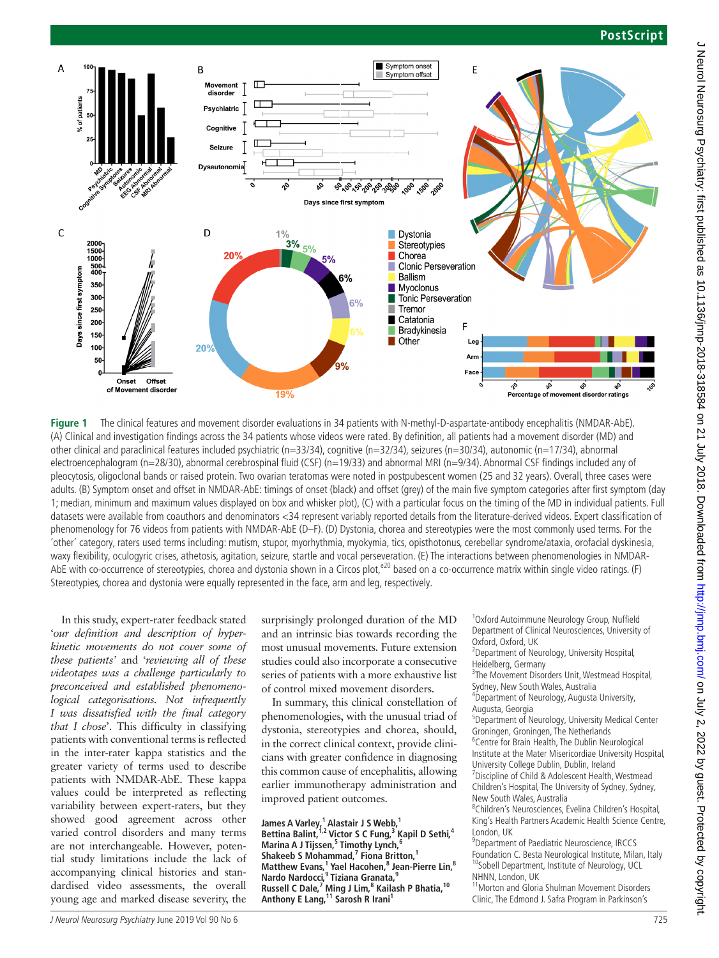### **PostScript**



<span id="page-1-0"></span>**Figure 1** The clinical features and movement disorder evaluations in 34 patients with N-methyl-D-aspartate-antibody encephalitis (NMDAR-AbE). (A) Clinical and investigation findings across the 34 patients whose videos were rated. By definition, all patients had a movement disorder (MD) and other clinical and paraclinical features included psychiatric (n=33/34), cognitive (n=32/34), seizures (n=30/34), autonomic (n=17/34), abnormal electroencephalogram (n=28/30), abnormal cerebrospinal fluid (CSF) (n=19/33) and abnormal MRI (n=9/34). Abnormal CSF findings included any of pleocytosis, oligoclonal bands or raised protein. Two ovarian teratomas were noted in postpubescent women (25 and 32 years). Overall, three cases were adults. (B) Symptom onset and offset in NMDAR-AbE: timings of onset (black) and offset (grey) of the main five symptom categories after first symptom (day 1; median, minimum and maximum values displayed on box and whisker plot), (C) with a particular focus on the timing of the MD in individual patients. Full datasets were available from coauthors and denominators <34 represent variably reported details from the literature-derived videos. Expert classification of phenomenology for 76 videos from patients with NMDAR-AbE (D–F). (D) Dystonia, chorea and stereotypies were the most commonly used terms. For the 'other' category, raters used terms including: mutism, stupor, myorhythmia, myokymia, tics, opisthotonus, cerebellar syndrome/ataxia, orofacial dyskinesia, waxy flexibility, oculogyric crises, athetosis, agitation, seizure, startle and vocal perseveration. (E) The interactions between phenomenologies in NMDAR-AbE with co-occurrence of stereotypies, chorea and dystonia shown in a Circos plot,<sup>e20</sup> based on a co-occurrence matrix within single video ratings. (F) Stereotypies, chorea and dystonia were equally represented in the face, arm and leg, respectively.

In this study, expert-rater feedback stated '*our definition and description of hyperkinetic movements do not cover some of these patients'* and '*reviewing all of these videotapes was a challenge particularly to preconceived and established phenomenological categorisations. Not infrequently I was dissatisfied with the final category that I chose*'. This difficulty in classifying patients with conventional terms is reflected in the inter-rater kappa statistics and the greater variety of terms used to describe patients with NMDAR-AbE. These kappa values could be interpreted as reflecting variability between expert-raters, but they showed good agreement across other varied control disorders and many terms are not interchangeable. However, potential study limitations include the lack of accompanying clinical histories and standardised video assessments, the overall young age and marked disease severity, the

surprisingly prolonged duration of the MD and an intrinsic bias towards recording the most unusual movements. Future extension studies could also incorporate a consecutive series of patients with a more exhaustive list of control mixed movement disorders.

In summary, this clinical constellation of phenomenologies, with the unusual triad of dystonia, stereotypies and chorea, should, in the correct clinical context, provide clinicians with greater confidence in diagnosing this common cause of encephalitis, allowing earlier immunotherapy administration and improved patient outcomes.

James A Varley,<sup>1</sup> Alastair J S Webb,<sup>1</sup> Bettina Balint,<sup>1,2</sup> Victor S C Fung,<sup>3</sup> Kapil D Sethi,<sup>4</sup> **Marina A J Tijssen,5 Timothy Lynch,6 Shakeeb S Mohammad,7 Fiona Britton,1 Matthew Evans,1 Yael Hacohen,8 Jean-Pierre Lin,8 Nardo Nardocci,9 Tiziana Granata,9 Russell C Dale,7 Ming J Lim,8 Kailash P Bhatia,10 Anthony E Lang,11 Sarosh R Irani1**

1 Oxford Autoimmune Neurology Group, Nuffield Department of Clinical Neurosciences, University of Oxford, Oxford, UK

2 Department of Neurology, University Hospital, Heidelberg, Germany

<sup>3</sup>The Movement Disorders Unit, Westmead Hospital, Sydney, New South Wales, Australia <sup>4</sup>

<sup>4</sup>Department of Neurology, Augusta University, Augusta, Georgia

5 Department of Neurology, University Medical Center

Groningen, Groningen, The Netherlands <sup>6</sup> <sup>6</sup> Centre for Brain Health, The Dublin Neurological

Institute at the Mater Misericordiae University Hospital, University College Dublin, Dublin, Ireland

<sup>7</sup> Discipline of Child & Adolescent Health, Westmead Children's Hospital, The University of Sydney, Sydney, New South Wales, Australia <sup>8</sup>

Children's Neurosciences, Evelina Children's Hospital, King's Health Partners Academic Health Science Centre, London, UK

<sup>9</sup> Department of Paediatric Neuroscience, IRCCS Foundation C. Besta Neurological Institute, Milan, Italy <sup>10</sup>Sobell Department, Institute of Neurology, UCL NHNN, London, UK<br><sup>11</sup>Morton and Gloria Shulman Movement Disorders

Clinic, The Edmond J. Safra Program in Parkinson's